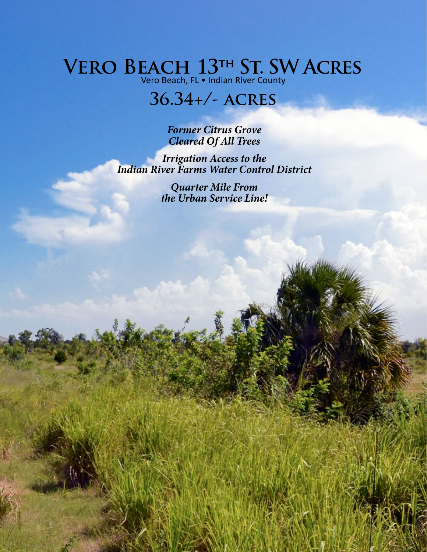## **Vero Beach 13th St. SW Acres**

Vero Beach, FL • Indian River County

## **36.34+/- acres**

*Former Citrus Grove Cleared Of All Trees*

*Irrigation Access to the Indian River Farms Water Control District*

> *Quarter Mile From the Urban Service Line!*